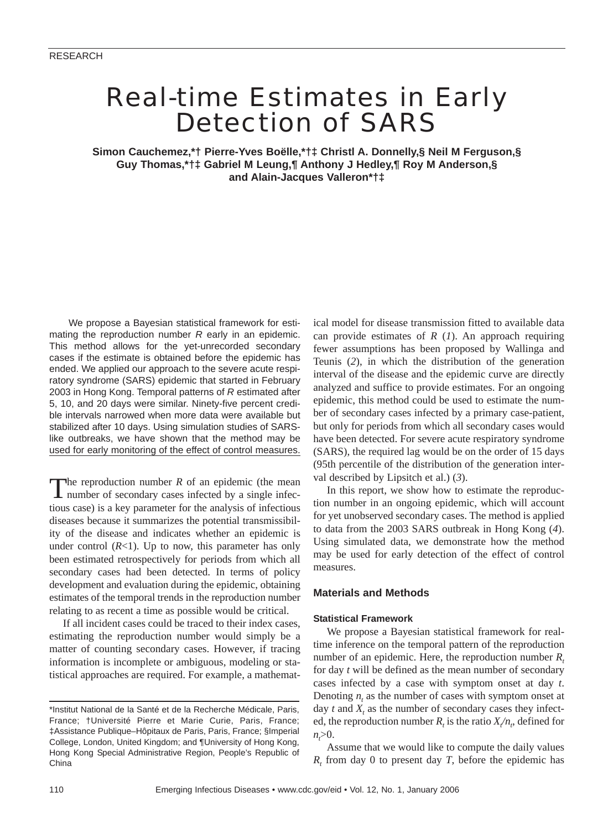# Real-time Estimates in Early Detection of SARS

**Simon Cauchemez,\*† Pierre-Yves Boëlle,\*†‡ Christl A. Donnelly,§ Neil M Ferguson,§ Guy Thomas,\*†‡ Gabriel M Leung,¶ Anthony J Hedley,¶ Roy M Anderson,§ and Alain-Jacques Valleron\*†‡**

We propose a Bayesian statistical framework for estimating the reproduction number *R* early in an epidemic. This method allows for the yet-unrecorded secondary cases if the estimate is obtained before the epidemic has ended. We applied our approach to the severe acute respiratory syndrome (SARS) epidemic that started in February 2003 in Hong Kong. Temporal patterns of *R* estimated after 5, 10, and 20 days were similar. Ninety-five percent credible intervals narrowed when more data were available but stabilized after 10 days. Using simulation studies of SARSlike outbreaks, we have shown that the method may be used for early monitoring of the effect of control measures.

The reproduction number  $R$  of an epidemic (the mean number of secondary cases infected by a single infectious case) is a key parameter for the analysis of infectious diseases because it summarizes the potential transmissibility of the disease and indicates whether an epidemic is under control  $(R<1)$ . Up to now, this parameter has only been estimated retrospectively for periods from which all secondary cases had been detected. In terms of policy development and evaluation during the epidemic, obtaining estimates of the temporal trends in the reproduction number relating to as recent a time as possible would be critical.

If all incident cases could be traced to their index cases, estimating the reproduction number would simply be a matter of counting secondary cases. However, if tracing information is incomplete or ambiguous, modeling or statistical approaches are required. For example, a mathematical model for disease transmission fitted to available data can provide estimates of *R* (*1*). An approach requiring fewer assumptions has been proposed by Wallinga and Teunis (*2*), in which the distribution of the generation interval of the disease and the epidemic curve are directly analyzed and suffice to provide estimates. For an ongoing epidemic, this method could be used to estimate the number of secondary cases infected by a primary case-patient, but only for periods from which all secondary cases would have been detected. For severe acute respiratory syndrome (SARS), the required lag would be on the order of 15 days (95th percentile of the distribution of the generation interval described by Lipsitch et al.) (*3*).

In this report, we show how to estimate the reproduction number in an ongoing epidemic, which will account for yet unobserved secondary cases. The method is applied to data from the 2003 SARS outbreak in Hong Kong (*4*). Using simulated data, we demonstrate how the method may be used for early detection of the effect of control measures.

# **Materials and Methods**

## **Statistical Framework**

We propose a Bayesian statistical framework for realtime inference on the temporal pattern of the reproduction number of an epidemic. Here, the reproduction number *R*<sub>t</sub> for day *t* will be defined as the mean number of secondary cases infected by a case with symptom onset at day *t*. Denoting *n*, as the number of cases with symptom onset at day  $t$  and  $X_t$ , as the number of secondary cases they infected, the reproduction number  $R_t$  is the ratio  $X/n_t$ , defined for *nt* >0.

Assume that we would like to compute the daily values  $R<sub>t</sub>$  from day 0 to present day *T*, before the epidemic has

<sup>\*</sup>Institut National de la Santé et de la Recherche Médicale, Paris, France; †Université Pierre et Marie Curie, Paris, France; ‡Assistance Publique–Hôpitaux de Paris, Paris, France; §Imperial College, London, United Kingdom; and ¶University of Hong Kong, Hong Kong Special Administrative Region, People's Republic of China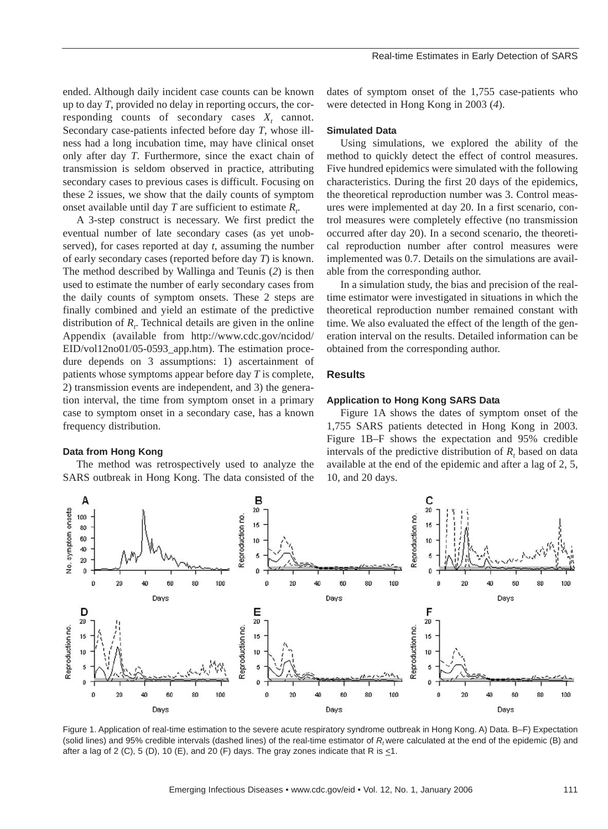ended. Although daily incident case counts can be known up to day *T*, provided no delay in reporting occurs, the corresponding counts of secondary cases  $X_t$  cannot. Secondary case-patients infected before day *T*, whose illness had a long incubation time, may have clinical onset only after day *T*. Furthermore, since the exact chain of transmission is seldom observed in practice, attributing secondary cases to previous cases is difficult. Focusing on these 2 issues, we show that the daily counts of symptom onset available until day  $T$  are sufficient to estimate  $R_t$ .

A 3-step construct is necessary. We first predict the eventual number of late secondary cases (as yet unobserved), for cases reported at day *t*, assuming the number of early secondary cases (reported before day *T*) is known. The method described by Wallinga and Teunis (*2*) is then used to estimate the number of early secondary cases from the daily counts of symptom onsets. These 2 steps are finally combined and yield an estimate of the predictive distribution of  $R_t$ . Technical details are given in the online Appendix (available from http://www.cdc.gov/ncidod/ EID/vol12no01/05-0593\_app.htm). The estimation procedure depends on 3 assumptions: 1) ascertainment of patients whose symptoms appear before day *T* is complete, 2) transmission events are independent, and 3) the generation interval, the time from symptom onset in a primary case to symptom onset in a secondary case, has a known frequency distribution.

## **Data from Hong Kong**

The method was retrospectively used to analyze the SARS outbreak in Hong Kong. The data consisted of the dates of symptom onset of the 1,755 case-patients who were detected in Hong Kong in 2003 (*4*).

# **Simulated Data**

Using simulations, we explored the ability of the method to quickly detect the effect of control measures. Five hundred epidemics were simulated with the following characteristics. During the first 20 days of the epidemics, the theoretical reproduction number was 3. Control measures were implemented at day 20. In a first scenario, control measures were completely effective (no transmission occurred after day 20). In a second scenario, the theoretical reproduction number after control measures were implemented was 0.7. Details on the simulations are available from the corresponding author.

In a simulation study, the bias and precision of the realtime estimator were investigated in situations in which the theoretical reproduction number remained constant with time. We also evaluated the effect of the length of the generation interval on the results. Detailed information can be obtained from the corresponding author.

# **Results**

# **Application to Hong Kong SARS Data**

Figure 1A shows the dates of symptom onset of the 1,755 SARS patients detected in Hong Kong in 2003. Figure 1B–F shows the expectation and 95% credible intervals of the predictive distribution of  $R<sub>t</sub>$  based on data available at the end of the epidemic and after a lag of 2, 5, 10, and 20 days.



Figure 1. Application of real-time estimation to the severe acute respiratory syndrome outbreak in Hong Kong. A) Data. B–F) Expectation (solid lines) and 95% credible intervals (dashed lines) of the real-time estimator of R, were calculated at the end of the epidemic (B) and after a lag of 2 (C), 5 (D), 10 (E), and 20 (F) days. The gray zones indicate that R is  $\leq 1$ .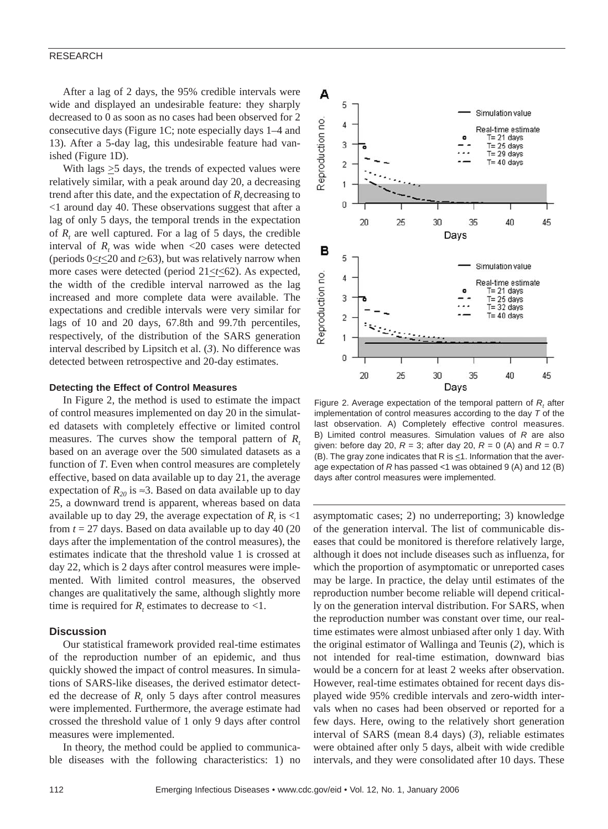### RESEARCH

After a lag of 2 days, the 95% credible intervals were wide and displayed an undesirable feature: they sharply decreased to 0 as soon as no cases had been observed for 2 consecutive days (Figure 1C; note especially days 1–4 and 13). After a 5-day lag, this undesirable feature had vanished (Figure 1D).

With lags  $\geq$ 5 days, the trends of expected values were relatively similar, with a peak around day 20, a decreasing trend after this date, and the expectation of  $R<sub>t</sub>$  decreasing to <1 around day 40. These observations suggest that after a lag of only 5 days, the temporal trends in the expectation of *Rt* are well captured. For a lag of 5 days, the credible interval of  $R_t$  was wide when  $\langle 20 \rangle$  cases were detected (periods  $0 \le t \le 20$  and  $t \ge 63$ ), but was relatively narrow when more cases were detected (period  $21 \le t \le 62$ ). As expected, the width of the credible interval narrowed as the lag increased and more complete data were available. The expectations and credible intervals were very similar for lags of 10 and 20 days, 67.8th and 99.7th percentiles, respectively, of the distribution of the SARS generation interval described by Lipsitch et al. (*3*). No difference was detected between retrospective and 20-day estimates.

## **Detecting the Effect of Control Measures**

In Figure 2, the method is used to estimate the impact of control measures implemented on day 20 in the simulated datasets with completely effective or limited control measures. The curves show the temporal pattern of *R*<sub>t</sub> based on an average over the 500 simulated datasets as a function of *T*. Even when control measures are completely effective, based on data available up to day 21, the average expectation of  $R_{20}$  is ≈3. Based on data available up to day 25, a downward trend is apparent, whereas based on data available up to day 29, the average expectation of  $R_t$  is  $\leq 1$ from  $t = 27$  days. Based on data available up to day 40 (20) days after the implementation of the control measures), the estimates indicate that the threshold value 1 is crossed at day 22, which is 2 days after control measures were implemented. With limited control measures, the observed changes are qualitatively the same, although slightly more time is required for  $R_t$  estimates to decrease to <1.

# **Discussion**

Our statistical framework provided real-time estimates of the reproduction number of an epidemic, and thus quickly showed the impact of control measures. In simulations of SARS-like diseases, the derived estimator detected the decrease of  $R_t$ , only 5 days after control measures were implemented. Furthermore, the average estimate had crossed the threshold value of 1 only 9 days after control measures were implemented.

In theory, the method could be applied to communicable diseases with the following characteristics: 1) no



Figure 2. Average expectation of the temporal pattern of  $R_t$  after implementation of control measures according to the day *T* of the last observation. A) Completely effective control measures. B) Limited control measures. Simulation values of *R* are also given: before day 20,  $R = 3$ ; after day 20,  $R = 0$  (A) and  $R = 0.7$ (B). The gray zone indicates that R is  $\leq$ 1. Information that the average expectation of *R* has passed *<*1 was obtained 9 (A) and 12 (B) days after control measures were implemented.

asymptomatic cases; 2) no underreporting; 3) knowledge of the generation interval. The list of communicable diseases that could be monitored is therefore relatively large, although it does not include diseases such as influenza, for which the proportion of asymptomatic or unreported cases may be large. In practice, the delay until estimates of the reproduction number become reliable will depend critically on the generation interval distribution. For SARS, when the reproduction number was constant over time, our realtime estimates were almost unbiased after only 1 day. With the original estimator of Wallinga and Teunis (*2*), which is not intended for real-time estimation, downward bias would be a concern for at least 2 weeks after observation. However, real-time estimates obtained for recent days displayed wide 95% credible intervals and zero-width intervals when no cases had been observed or reported for a few days. Here, owing to the relatively short generation interval of SARS (mean 8.4 days) (*3*), reliable estimates were obtained after only 5 days, albeit with wide credible intervals, and they were consolidated after 10 days. These